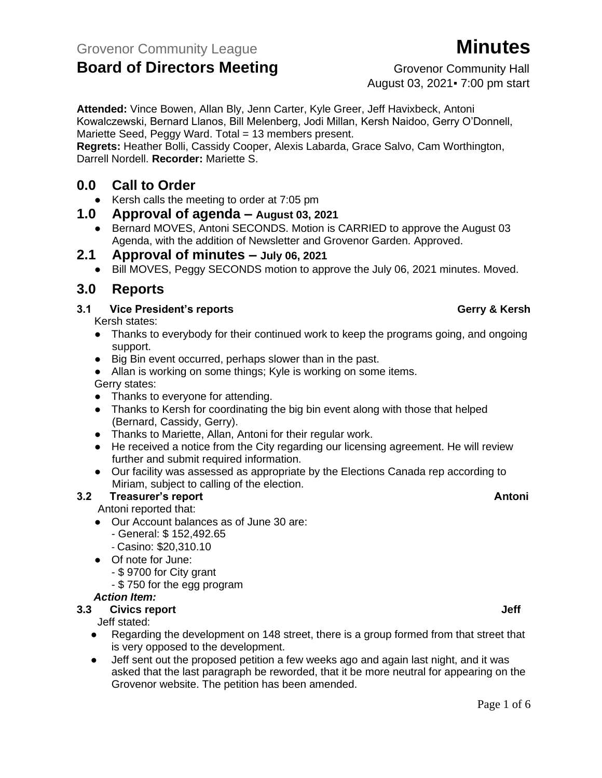# **Board of Directors Meeting Example 20 Grovenor Community Hall**

August 03, 2021▪ 7:00 pm start

**Attended:** Vince Bowen, Allan Bly, Jenn Carter, Kyle Greer, Jeff Havixbeck, Antoni Kowalczewski, Bernard Llanos, Bill Melenberg, Jodi Millan, Kersh Naidoo, Gerry O'Donnell, Mariette Seed, Peggy Ward. Total = 13 members present.

**Regrets:** Heather Bolli, Cassidy Cooper, Alexis Labarda, Grace Salvo, Cam Worthington, Darrell Nordell. **Recorder:** Mariette S.

### **0.0 Call to Order**

● Kersh calls the meeting to order at 7:05 pm

#### **1.0 Approval of agenda – August 03, 2021**

- Bernard MOVES, Antoni SECONDS. Motion is CARRIED to approve the August 03 Agenda, with the addition of Newsletter and Grovenor Garden. Approved.
- **2.1 Approval of minutes – July 06, 2021**
	- Bill MOVES, Peggy SECONDS motion to approve the July 06, 2021 minutes. Moved.

### **3.0 Reports**

#### **3.1 Vice President's reports Gerry & Kersh**

Kersh states:

- Thanks to everybody for their continued work to keep the programs going, and ongoing support.
- Big Bin event occurred, perhaps slower than in the past.
- Allan is working on some things; Kyle is working on some items.

Gerry states:

- Thanks to everyone for attending.
- Thanks to Kersh for coordinating the big bin event along with those that helped (Bernard, Cassidy, Gerry).
- Thanks to Mariette, Allan, Antoni for their regular work.
- He received a notice from the City regarding our licensing agreement. He will review further and submit required information.
- Our facility was assessed as appropriate by the Elections Canada rep according to Miriam, subject to calling of the election.

#### **3.2 Treasurer's report Antonic Science Antonic Science Antonic Antonic Antonic Antonic Antonic Antonic Antonic Antonic Antonic Antonic Antonic Antonic Antonic Antonic Antonic Antonic Antonic Antonic Antonic Antonic Antoni**

Antoni reported that:

- Our Account balances as of June 30 are:
	- General: \$ 152,492.65
	- Casino: \$20,310.10
- Of note for June:
	- \$ 9700 for City grant
	- \$ 750 for the egg program

#### *Action Item:*

**3.3 Civics report Jeff Jeff Jeff Jeff Jeff Jeff Jeff** 

Jeff stated:

- Regarding the development on 148 street, there is a group formed from that street that is very opposed to the development.
- Jeff sent out the proposed petition a few weeks ago and again last night, and it was asked that the last paragraph be reworded, that it be more neutral for appearing on the Grovenor website. The petition has been amended.

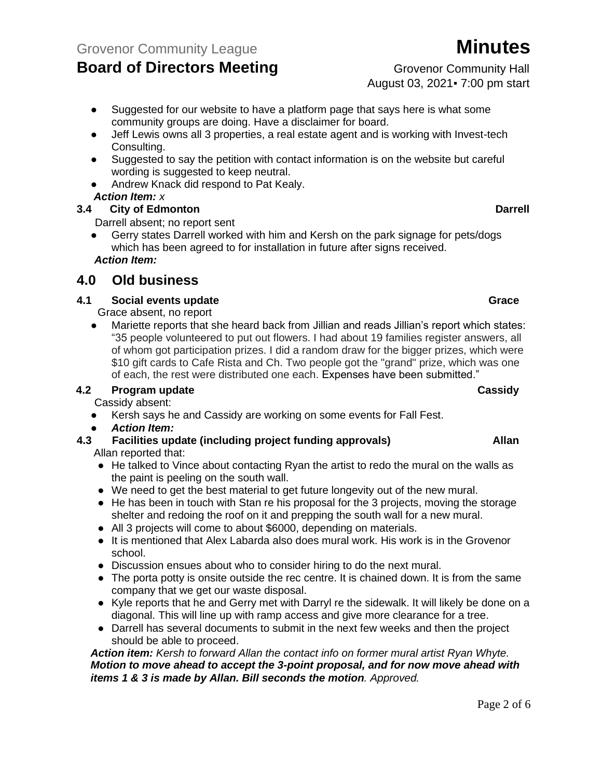# **Board of Directors Meeting Example 20 Grovenor Community Hall**

● Suggested for our website to have a platform page that says here is what some

- community groups are doing. Have a disclaimer for board. • Jeff Lewis owns all 3 properties, a real estate agent and is working with Invest-tech Consulting.
- Suggested to say the petition with contact information is on the website but careful wording is suggested to keep neutral.
- Andrew Knack did respond to Pat Kealy. *Action Item: x*

### **3.4 City of Edmonton Darrell**

Darrell absent; no report sent

Gerry states Darrell worked with him and Kersh on the park signage for pets/dogs which has been agreed to for installation in future after signs received. *Action Item:*

### **4.0 Old business**

#### **4.1 Social events update Grace**

Grace absent, no report

● Mariette reports that she heard back from Jillian and reads Jillian's report which states: "35 people volunteered to put out flowers. I had about 19 families register answers, all of whom got participation prizes. I did a random draw for the bigger prizes, which were \$10 gift cards to Cafe Rista and Ch. Two people got the "grand" prize, which was one of each, the rest were distributed one each. Expenses have been submitted."

#### **4.2 Program update Cassidy**

Cassidy absent:

- Kersh says he and Cassidy are working on some events for Fall Fest.
- *Action Item:*
- **4.3 Facilities update (including project funding approvals) Allan** Allan reported that:
	- He talked to Vince about contacting Ryan the artist to redo the mural on the walls as the paint is peeling on the south wall.
	- We need to get the best material to get future longevity out of the new mural.
	- He has been in touch with Stan re his proposal for the 3 projects, moving the storage shelter and redoing the roof on it and prepping the south wall for a new mural.
	- All 3 projects will come to about \$6000, depending on materials.
	- It is mentioned that Alex Labarda also does mural work. His work is in the Grovenor school.
	- Discussion ensues about who to consider hiring to do the next mural.
	- The porta potty is onsite outside the rec centre. It is chained down. It is from the same company that we get our waste disposal.
	- Kyle reports that he and Gerry met with Darryl re the sidewalk. It will likely be done on a diagonal. This will line up with ramp access and give more clearance for a tree.
	- Darrell has several documents to submit in the next few weeks and then the project should be able to proceed.

*Action item: Kersh to forward Allan the contact info on former mural artist Ryan Whyte. Motion to move ahead to accept the 3-point proposal, and for now move ahead with items 1 & 3 is made by Allan. Bill seconds the motion. Approved.*

August 03, 2021▪ 7:00 pm start

#### Page 2 of 6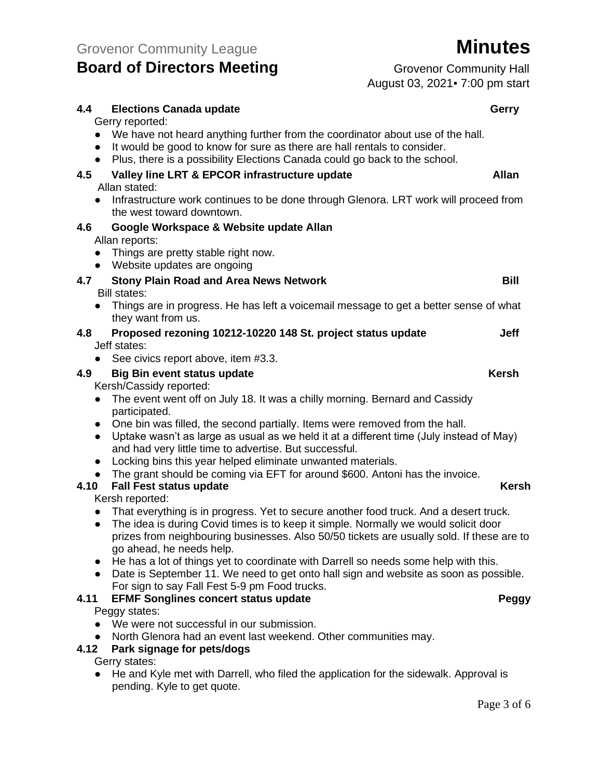# **Board of Directors Meeting Example 20 Grovenor Community Hall**

August 03, 2021▪ 7:00 pm start

#### **4.4 Elections Canada update Gerry** Gerry reported: ● We have not heard anything further from the coordinator about use of the hall. ● It would be good to know for sure as there are hall rentals to consider. ● Plus, there is a possibility Elections Canada could go back to the school. **4.5 Valley line LRT & EPCOR infrastructure update Allan** Allan stated: ● Infrastructure work continues to be done through Glenora. LRT work will proceed from the west toward downtown. **4.6 Google Workspace & Website update Allan** Allan reports: ● Things are pretty stable right now. ● Website updates are ongoing **4.7 Stony Plain Road and Area News Network Bill** Bill states: ● Things are in progress. He has left a voicemail message to get a better sense of what they want from us. **4.8 Proposed rezoning 10212-10220 148 St. project status update Jeff** Jeff states: ● See civics report above, item #3.3. **4.9 Big Bin event status update Kersh** Kersh/Cassidy reported: • The event went off on July 18. It was a chilly morning. Bernard and Cassidy participated. • One bin was filled, the second partially. Items were removed from the hall. ● Uptake wasn't as large as usual as we held it at a different time (July instead of May) and had very little time to advertise. But successful. ● Locking bins this year helped eliminate unwanted materials. • The grant should be coming via EFT for around \$600. Antoni has the invoice. **4.10 Fall Fest status update Kersh** Kersh reported: • That everything is in progress. Yet to secure another food truck. And a desert truck. ● The idea is during Covid times is to keep it simple. Normally we would solicit door prizes from neighbouring businesses. Also 50/50 tickets are usually sold. If these are to go ahead, he needs help. ● He has a lot of things yet to coordinate with Darrell so needs some help with this.

● Date is September 11. We need to get onto hall sign and website as soon as possible. For sign to say Fall Fest 5-9 pm Food trucks.

### **4.11 EFMF Songlines concert status update Peggy**

#### Peggy states:

- We were not successful in our submission.
- North Glenora had an event last weekend. Other communities may.

#### **4.12 Park signage for pets/dogs**

Gerry states:

● He and Kyle met with Darrell, who filed the application for the sidewalk. Approval is pending. Kyle to get quote.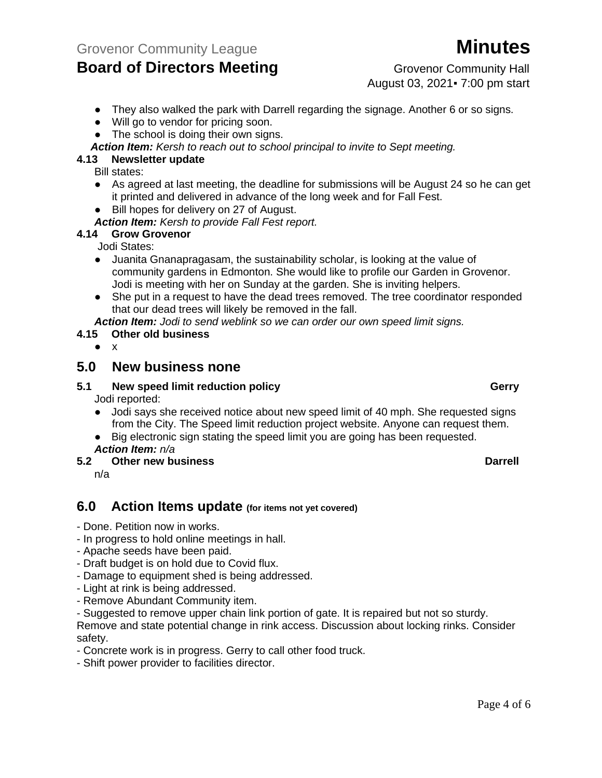

August 03, 2021▪ 7:00 pm start

- They also walked the park with Darrell regarding the signage. Another 6 or so signs.
- Will go to vendor for pricing soon.
- The school is doing their own signs.
- *Action Item: Kersh to reach out to school principal to invite to Sept meeting.*

#### **4.13 Newsletter update**

Bill states:

- As agreed at last meeting, the deadline for submissions will be August 24 so he can get it printed and delivered in advance of the long week and for Fall Fest.
- Bill hopes for delivery on 27 of August.
- *Action Item: Kersh to provide Fall Fest report.*

#### **4.14 Grow Grovenor**

Jodi States:

- Juanita Gnanapragasam, the sustainability scholar, is looking at the value of community gardens in Edmonton. She would like to profile our Garden in Grovenor. Jodi is meeting with her on Sunday at the garden. She is inviting helpers.
- She put in a request to have the dead trees removed. The tree coordinator responded that our dead trees will likely be removed in the fall.

*Action Item: Jodi to send weblink so we can order our own speed limit signs.*

#### **4.15 Other old business**

● x

#### **5.0 New business none**

#### **5.1 New speed limit reduction policy Gerry** Jodi reported:

- Jodi says she received notice about new speed limit of 40 mph. She requested signs from the City. The Speed limit reduction project website. Anyone can request them.
- Big electronic sign stating the speed limit you are going has been requested.
- *Action Item: n/a*
- **5.2 Other new business Darrell**

n/a

### **6.0 Action Items update (for items not yet covered)**

- Done. Petition now in works.

- In progress to hold online meetings in hall.
- Apache seeds have been paid.
- Draft budget is on hold due to Covid flux.
- Damage to equipment shed is being addressed.
- Light at rink is being addressed.
- Remove Abundant Community item.

- Suggested to remove upper chain link portion of gate. It is repaired but not so sturdy.

Remove and state potential change in rink access. Discussion about locking rinks. Consider safety.

- Concrete work is in progress. Gerry to call other food truck.
- Shift power provider to facilities director.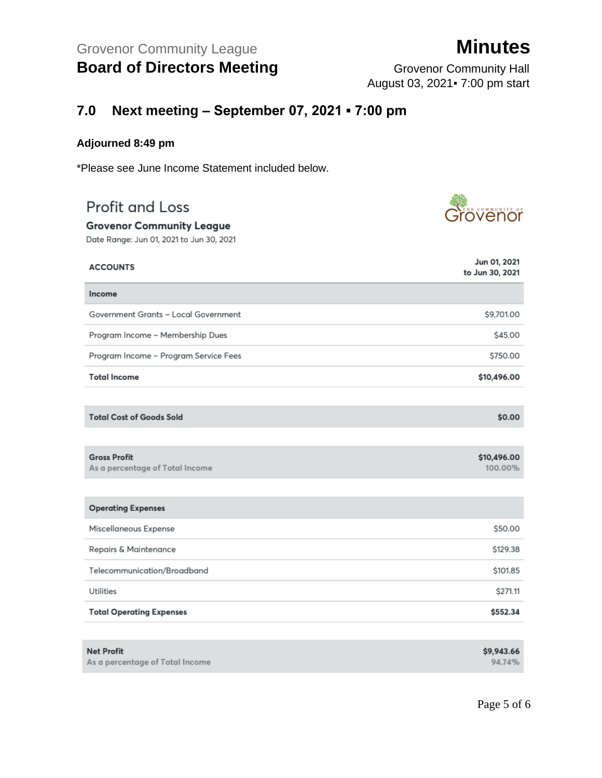August 03, 2021▪ 7:00 pm start

## **7.0 Next meeting – September 07, 2021 ▪ 7:00 pm**

#### **Adjourned 8:49 pm**

\*Please see June Income Statement included below.

# Profit and Loss

#### **Grovenor Community League**

Date Range: Jun 01, 2021 to Jun 30, 2021

| <b>ACCOUNTS</b>                                        | Jun 01, 2021<br>to Jun 30, 2021 |
|--------------------------------------------------------|---------------------------------|
| Income                                                 |                                 |
| Government Grants - Local Government                   | \$9,701.00                      |
| Program Income - Membership Dues                       | \$45.00                         |
| Program Income - Program Service Fees                  | \$750.00                        |
| <b>Total Income</b>                                    | \$10,496.00                     |
|                                                        |                                 |
| <b>Total Cost of Goods Sold</b>                        | \$0.00                          |
|                                                        |                                 |
| <b>Gross Profit</b><br>As a percentage of Total Income | \$10,496.00<br>100.00%          |
|                                                        |                                 |
| <b>Operating Expenses</b>                              |                                 |
| Miscellaneous Expense                                  | \$50.00                         |
| Repairs & Maintenance                                  | \$129.38                        |
| Telecommunication/Broadband                            | \$101.85                        |
| Utilities                                              | \$271.11                        |
| <b>Total Operating Expenses</b>                        | \$552.34                        |
|                                                        |                                 |

| <b>Net Profit</b>               | \$9,943.66 |
|---------------------------------|------------|
| As a percentage of Total Income | 94.74%     |

# <u>ze</u><br>Jrovenor